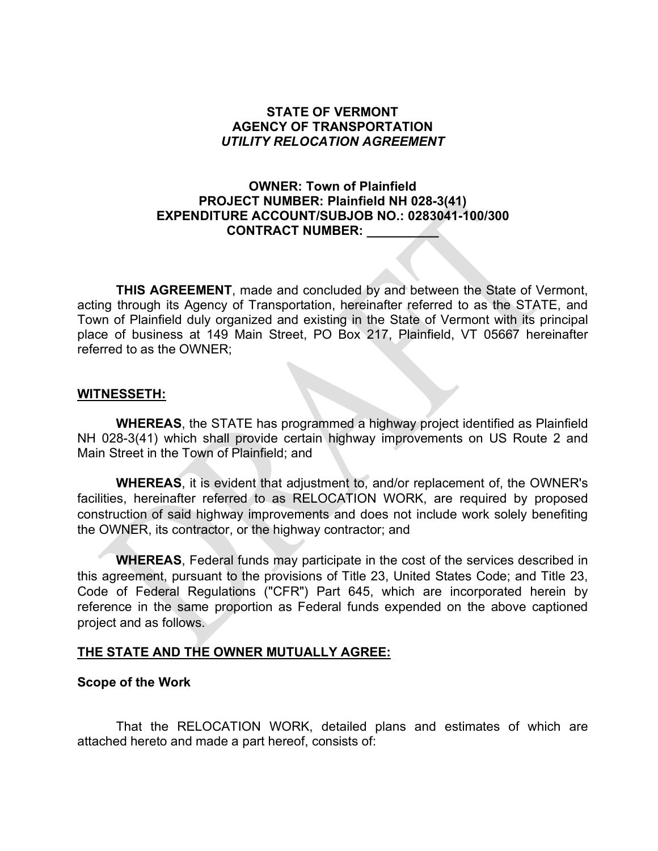### **STATE OF VERMONT AGENCY OF TRANSPORTATION** *UTILITY RELOCATION AGREEMENT*

# **OWNER: Town of Plainfield PROJECT NUMBER: Plainfield NH 028-3(41) EXPENDITURE ACCOUNT/SUBJOB NO.: 0283041-100/300 CONTRACT NUMBER: \_\_\_\_\_\_\_\_\_\_**

**THIS AGREEMENT**, made and concluded by and between the State of Vermont, acting through its Agency of Transportation, hereinafter referred to as the STATE, and Town of Plainfield duly organized and existing in the State of Vermont with its principal place of business at 149 Main Street, PO Box 217, Plainfield, VT 05667 hereinafter referred to as the OWNER;

#### **WITNESSETH:**

**WHEREAS**, the STATE has programmed a highway project identified as Plainfield NH 028-3(41) which shall provide certain highway improvements on US Route 2 and Main Street in the Town of Plainfield; and

**WHEREAS**, it is evident that adjustment to, and/or replacement of, the OWNER's facilities, hereinafter referred to as RELOCATION WORK, are required by proposed construction of said highway improvements and does not include work solely benefiting the OWNER, its contractor, or the highway contractor; and

**WHEREAS**, Federal funds may participate in the cost of the services described in this agreement, pursuant to the provisions of Title 23, United States Code; and Title 23, Code of Federal Regulations ("CFR") Part 645, which are incorporated herein by reference in the same proportion as Federal funds expended on the above captioned project and as follows.

# **THE STATE AND THE OWNER MUTUALLY AGREE:**

# **Scope of the Work**

That the RELOCATION WORK, detailed plans and estimates of which are attached hereto and made a part hereof, consists of: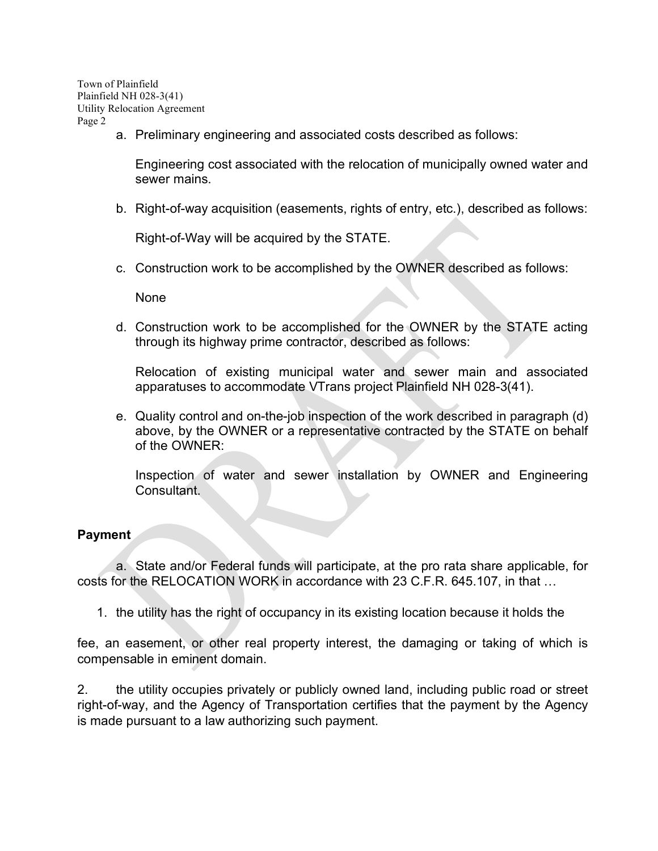a. Preliminary engineering and associated costs described as follows:

Engineering cost associated with the relocation of municipally owned water and sewer mains.

b. Right-of-way acquisition (easements, rights of entry, etc.), described as follows:

Right-of-Way will be acquired by the STATE.

c. Construction work to be accomplished by the OWNER described as follows:

None

d. Construction work to be accomplished for the OWNER by the STATE acting through its highway prime contractor, described as follows:

Relocation of existing municipal water and sewer main and associated apparatuses to accommodate VTrans project Plainfield NH 028-3(41).

e. Quality control and on-the-job inspection of the work described in paragraph (d) above, by the OWNER or a representative contracted by the STATE on behalf of the OWNER:

Inspection of water and sewer installation by OWNER and Engineering Consultant.

#### **Payment**

a. State and/or Federal funds will participate, at the pro rata share applicable, for costs for the RELOCATION WORK in accordance with 23 C.F.R. 645.107, in that …

1. the utility has the right of occupancy in its existing location because it holds the

fee, an easement, or other real property interest, the damaging or taking of which is compensable in eminent domain.

2. the utility occupies privately or publicly owned land, including public road or street right-of-way, and the Agency of Transportation certifies that the payment by the Agency is made pursuant to a law authorizing such payment.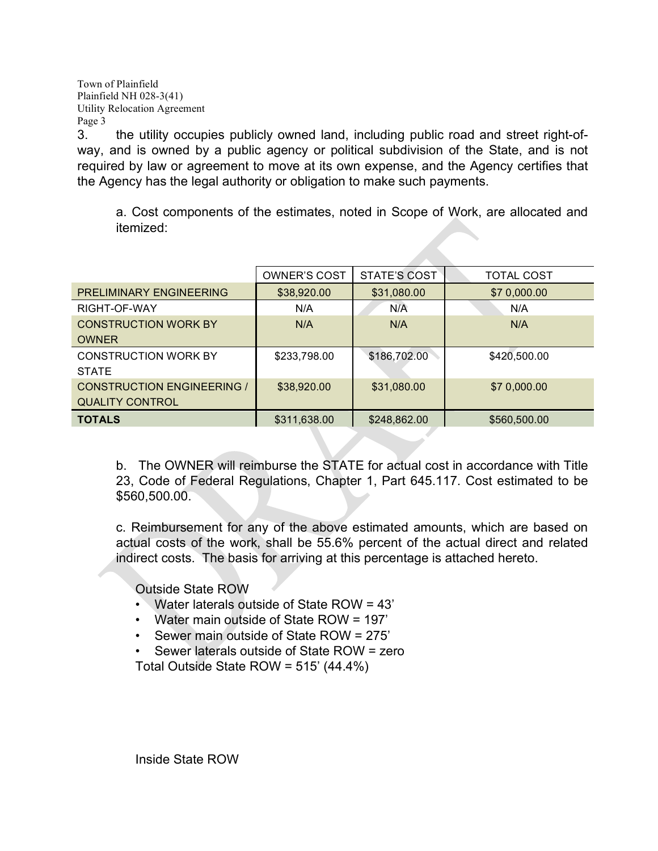3. the utility occupies publicly owned land, including public road and street right-ofway, and is owned by a public agency or political subdivision of the State, and is not required by law or agreement to move at its own expense, and the Agency certifies that the Agency has the legal authority or obligation to make such payments.

a. Cost components of the estimates, noted in Scope of Work, are allocated and itemized:

|                                   | <b>OWNER'S COST</b> | STATE'S COST | <b>TOTAL COST</b> |
|-----------------------------------|---------------------|--------------|-------------------|
| PRELIMINARY ENGINEERING           | \$38,920.00         | \$31,080.00  | \$7 0,000.00      |
| RIGHT-OF-WAY                      | N/A                 | N/A          | N/A               |
| <b>CONSTRUCTION WORK BY</b>       | N/A                 | N/A          | N/A               |
| <b>OWNER</b>                      |                     |              |                   |
| <b>CONSTRUCTION WORK BY</b>       | \$233,798.00        | \$186,702.00 | \$420,500.00      |
| <b>STATE</b>                      |                     |              |                   |
| <b>CONSTRUCTION ENGINEERING /</b> | \$38,920.00         | \$31,080.00  | \$7 0,000.00      |
| <b>QUALITY CONTROL</b>            |                     |              |                   |
| <b>TOTALS</b>                     | \$311,638.00        | \$248,862.00 | \$560,500.00      |

b. The OWNER will reimburse the STATE for actual cost in accordance with Title 23, Code of Federal Regulations, Chapter 1, Part 645.117. Cost estimated to be \$560,500.00.

c. Reimbursement for any of the above estimated amounts, which are based on actual costs of the work, shall be 55.6% percent of the actual direct and related indirect costs. The basis for arriving at this percentage is attached hereto.

Outside State ROW

- Water laterals outside of State ROW = 43'
- Water main outside of State ROW = 197'
- Sewer main outside of State ROW = 275'
- Sewer laterals outside of State ROW = zero

Total Outside State ROW = 515' (44.4%)

Inside State ROW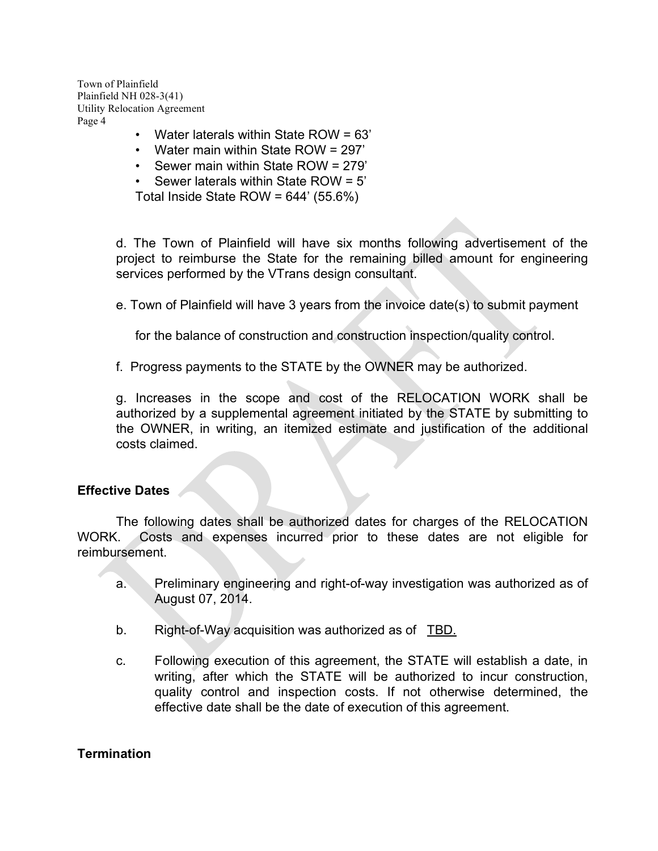- Water laterals within State ROW = 63'
- Water main within State ROW = 297'
- Sewer main within State ROW = 279'
- Sewer laterals within State ROW = 5'
- Total Inside State ROW = 644' (55.6%)

d. The Town of Plainfield will have six months following advertisement of the project to reimburse the State for the remaining billed amount for engineering services performed by the VTrans design consultant.

e. Town of Plainfield will have 3 years from the invoice date(s) to submit payment

for the balance of construction and construction inspection/quality control.

f. Progress payments to the STATE by the OWNER may be authorized.

g. Increases in the scope and cost of the RELOCATION WORK shall be authorized by a supplemental agreement initiated by the STATE by submitting to the OWNER, in writing, an itemized estimate and justification of the additional costs claimed.

#### **Effective Dates**

The following dates shall be authorized dates for charges of the RELOCATION WORK. Costs and expenses incurred prior to these dates are not eligible for reimbursement.

- a. Preliminary engineering and right-of-way investigation was authorized as of August 07, 2014.
- b. Right-of-Way acquisition was authorized as of TBD.
- c. Following execution of this agreement, the STATE will establish a date, in writing, after which the STATE will be authorized to incur construction, quality control and inspection costs. If not otherwise determined, the effective date shall be the date of execution of this agreement.

#### **Termination**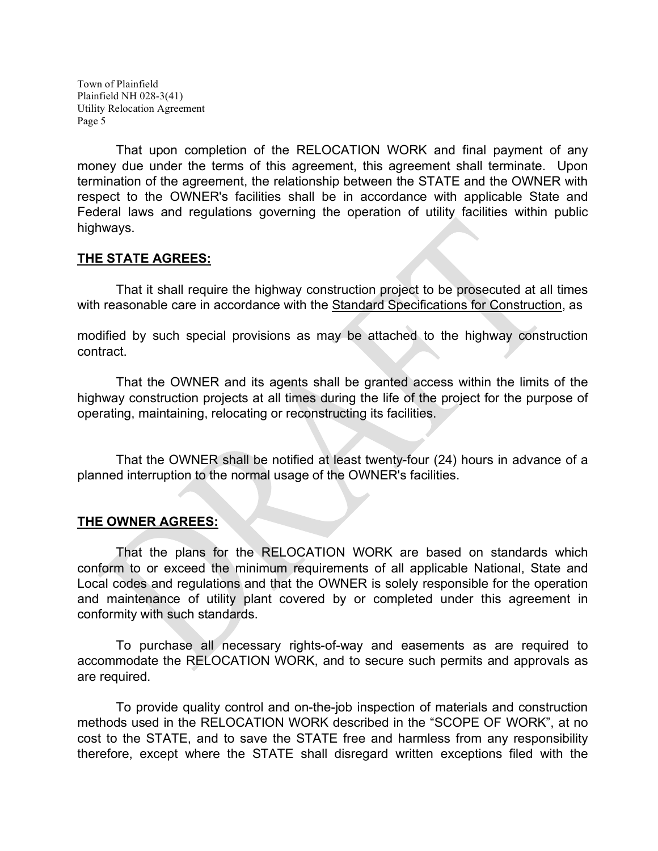That upon completion of the RELOCATION WORK and final payment of any money due under the terms of this agreement, this agreement shall terminate. Upon termination of the agreement, the relationship between the STATE and the OWNER with respect to the OWNER's facilities shall be in accordance with applicable State and Federal laws and regulations governing the operation of utility facilities within public highways.

# **THE STATE AGREES:**

That it shall require the highway construction project to be prosecuted at all times with reasonable care in accordance with the Standard Specifications for Construction, as

modified by such special provisions as may be attached to the highway construction contract.

That the OWNER and its agents shall be granted access within the limits of the highway construction projects at all times during the life of the project for the purpose of operating, maintaining, relocating or reconstructing its facilities.

That the OWNER shall be notified at least twenty-four (24) hours in advance of a planned interruption to the normal usage of the OWNER's facilities.

# **THE OWNER AGREES:**

That the plans for the RELOCATION WORK are based on standards which conform to or exceed the minimum requirements of all applicable National, State and Local codes and regulations and that the OWNER is solely responsible for the operation and maintenance of utility plant covered by or completed under this agreement in conformity with such standards.

To purchase all necessary rights-of-way and easements as are required to accommodate the RELOCATION WORK, and to secure such permits and approvals as are required.

To provide quality control and on-the-job inspection of materials and construction methods used in the RELOCATION WORK described in the "SCOPE OF WORK", at no cost to the STATE, and to save the STATE free and harmless from any responsibility therefore, except where the STATE shall disregard written exceptions filed with the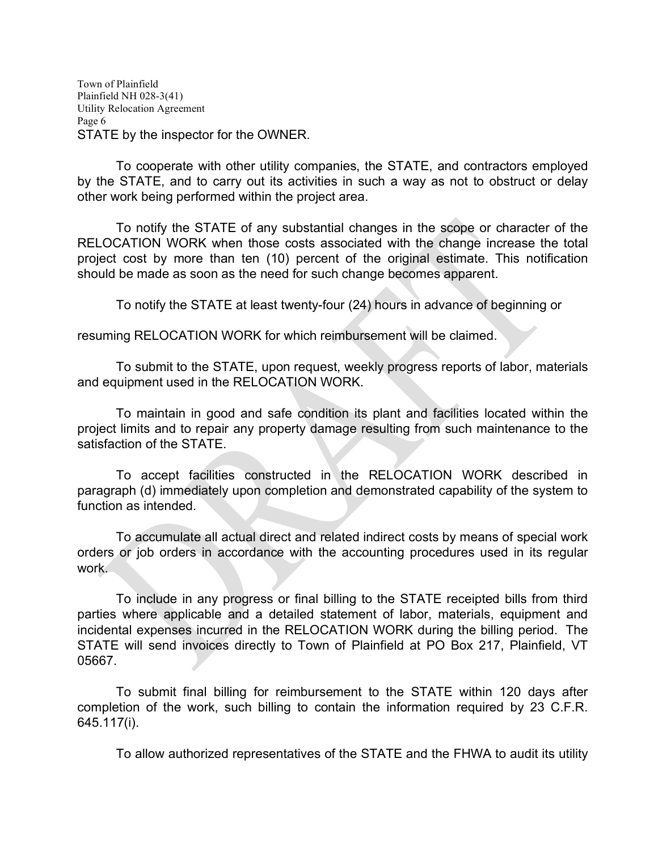Town of Plainfield Plainfield NH 028-3(41) Utility Relocation Agreement Page 6 STATE by the inspector for the OWNER.

To cooperate with other utility companies, the STATE, and contractors employed by the STATE, and to carry out its activities in such a way as not to obstruct or delay other work being performed within the project area.

To notify the STATE of any substantial changes in the scope or character of the RELOCATION WORK when those costs associated with the change increase the total project cost by more than ten (10) percent of the original estimate. This notification should be made as soon as the need for such change becomes apparent.

To notify the STATE at least twenty-four (24) hours in advance of beginning or

resuming RELOCATION WORK for which reimbursement will be claimed.

To submit to the STATE, upon request, weekly progress reports of labor, materials and equipment used in the RELOCATION WORK.

To maintain in good and safe condition its plant and facilities located within the project limits and to repair any property damage resulting from such maintenance to the satisfaction of the STATE.

To accept facilities constructed in the RELOCATION WORK described in paragraph (d) immediately upon completion and demonstrated capability of the system to function as intended.

To accumulate all actual direct and related indirect costs by means of special work orders or job orders in accordance with the accounting procedures used in its regular work.

To include in any progress or final billing to the STATE receipted bills from third parties where applicable and a detailed statement of labor, materials, equipment and incidental expenses incurred in the RELOCATION WORK during the billing period. The STATE will send invoices directly to Town of Plainfield at PO Box 217, Plainfield, VT 05667.

To submit final billing for reimbursement to the STATE within 120 days after completion of the work, such billing to contain the information required by 23 C.F.R. 645.117(i).

To allow authorized representatives of the STATE and the FHWA to audit its utility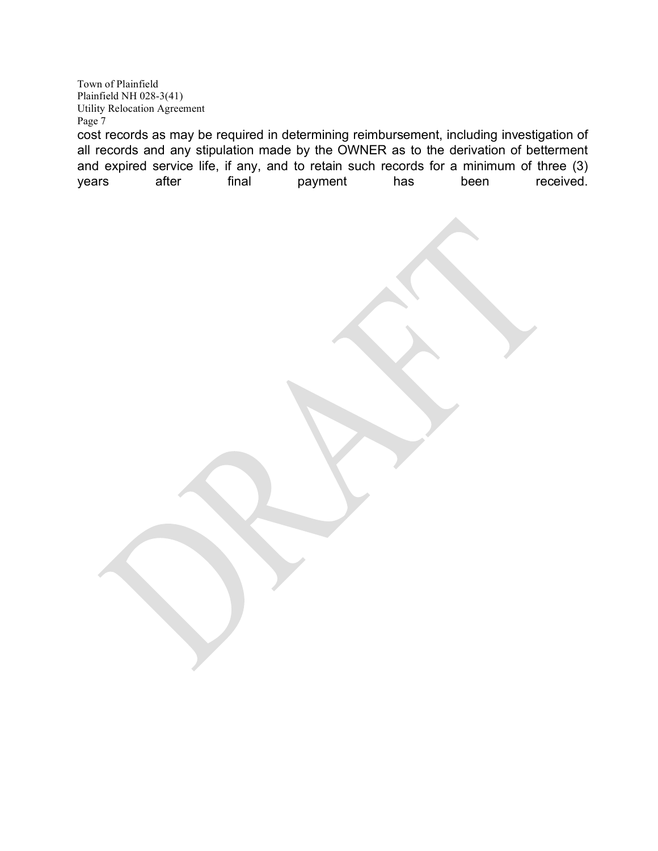Town of Plainfield Plainfield NH 028-3(41) Utility Relocation Agreement Page 7 cost records as may be required in determining reimbursement, including investigation of all records and any stipulation made by the OWNER as to the derivation of betterment

and expired service life, if any, and to retain such records for a minimum of three (3)<br>vears after final payment has been received. years after final payment has